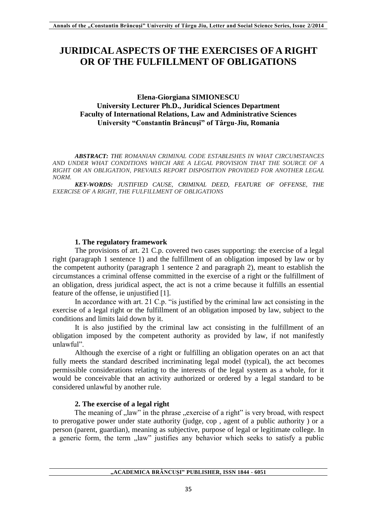# **JURIDICAL ASPECTS OF THE EXERCISES OF A RIGHT OR OF THE FULFILLMENT OF OBLIGATIONS**

## **Elena-Giorgiana SIMIONESCU University Lecturer Ph.D., Juridical Sciences Department Faculty of International Relations, Law and Administrative Sciences University "Constantin Brâncuşi" of Târgu-Jiu, Romania**

*ABSTRACT: THE ROMANIAN CRIMINAL CODE ESTABLISHES IN WHAT CIRCUMSTANCES AND UNDER WHAT CONDITIONS WHICH ARE A LEGAL PROVISION THAT THE SOURCE OF A RIGHT OR AN OBLIGATION, PREVAILS REPORT DISPOSITION PROVIDED FOR ANOTHER LEGAL NORM.*

*KEY-WORDS: JUSTIFIED CAUSE, CRIMINAL DEED, FEATURE OF OFFENSE, THE EXERCISE OF A RIGHT, THE FULFILLMENT OF OBLIGATIONS*

## **1. The regulatory framework**

The provisions of art. 21 C.p. covered two cases supporting: the exercise of a legal right (paragraph 1 sentence 1) and the fulfillment of an obligation imposed by law or by the competent authority (paragraph 1 sentence 2 and paragraph 2), meant to establish the circumstances a criminal offense committed in the exercise of a right or the fulfillment of an obligation, dress juridical aspect, the act is not a crime because it fulfills an essential feature of the offense, ie unjustified [1].

In accordance with art. 21 C.p. "is justified by the criminal law act consisting in the exercise of a legal right or the fulfillment of an obligation imposed by law, subject to the conditions and limits laid down by it.

It is also justified by the criminal law act consisting in the fulfillment of an obligation imposed by the competent authority as provided by law, if not manifestly unlawful".

Although the exercise of a right or fulfilling an obligation operates on an act that fully meets the standard described incriminating legal model (typical), the act becomes permissible considerations relating to the interests of the legal system as a whole, for it would be conceivable that an activity authorized or ordered by a legal standard to be considered unlawful by another rule.

#### **2. The exercise of a legal right**

The meaning of "law" in the phrase "exercise of a right" is very broad, with respect to prerogative power under state authority (judge, cop , agent of a public authority ) or a person (parent, guardian), meaning as subjective, purpose of legal or legitimate college. In a generic form, the term "law" justifies any behavior which seeks to satisfy a public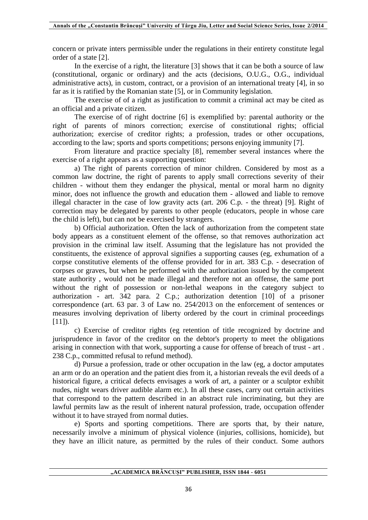concern or private inters permissible under the regulations in their entirety constitute legal order of a state [2].

In the exercise of a right, the literature [3] shows that it can be both a source of law (constitutional, organic or ordinary) and the acts (decisions, O.U.G., O.G., individual administrative acts), in custom, contract, or a provision of an international treaty [4], in so far as it is ratified by the Romanian state [5], or in Community legislation.

The exercise of of a right as justification to commit a criminal act may be cited as an official and a private citizen.

The exercise of of right doctrine [6] is exemplified by: parental authority or the right of parents of minors correction; exercise of constitutional rights; official authorization; exercise of creditor rights; a profession, trades or other occupations, according to the law; sports and sports competitions; persons enjoying immunity [7].

From literature and practice specialty [8], remember several instances where the exercise of a right appears as a supporting question:

a) The right of parents correction of minor children. Considered by most as a common law doctrine, the right of parents to apply small corrections severity of their children - without them they endanger the physical, mental or moral harm no dignity minor, does not influence the growth and education them - allowed and liable to remove illegal character in the case of low gravity acts (art. 206 C.p. - the threat) [9]. Right of correction may be delegated by parents to other people (educators, people in whose care the child is left), but can not be exercised by strangers.

b) Official authorization. Often the lack of authorization from the competent state body appears as a constituent element of the offense, so that removes authorization act provision in the criminal law itself. Assuming that the legislature has not provided the constituents, the existence of approval signifies a supporting causes (eg, exhumation of a corpse constitutive elements of the offense provided for in art. 383 C.p. - desecration of corpses or graves, but when he performed with the authorization issued by the competent state authority , would not be made illegal and therefore not an offense, the same port without the right of possession or non-lethal weapons in the category subject to authorization - art. 342 para. 2 C.p.; authorization detention [10] of a prisoner correspondence (art. 63 par. 3 of Law no. 254/2013 on the enforcement of sentences or measures involving deprivation of liberty ordered by the court in criminal proceedings  $[11]$ ).

c) Exercise of creditor rights (eg retention of title recognized by doctrine and jurisprudence in favor of the creditor on the debtor's property to meet the obligations arising in connection with that work, supporting a cause for offense of breach of trust - art . 238 C.p., committed refusal to refund method).

d) Pursue a profession, trade or other occupation in the law (eg, a doctor amputates an arm or do an operation and the patient dies from it, a historian reveals the evil deeds of a historical figure, a critical defects envisages a work of art, a painter or a sculptor exhibit nudes, night wears driver audible alarm etc.). In all these cases, carry out certain activities that correspond to the pattern described in an abstract rule incriminating, but they are lawful permits law as the result of inherent natural profession, trade, occupation offender without it to have strayed from normal duties.

e) Sports and sporting competitions. There are sports that, by their nature, necessarily involve a minimum of physical violence (injuries, collisions, homicide), but they have an illicit nature, as permitted by the rules of their conduct. Some authors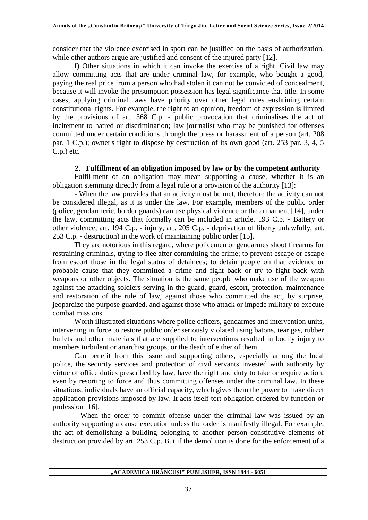consider that the violence exercised in sport can be justified on the basis of authorization, while other authors argue are justified and consent of the injured party [12].

f) Other situations in which it can invoke the exercise of a right. Civil law may allow committing acts that are under criminal law, for example, who bought a good, paying the real price from a person who had stolen it can not be convicted of concealment, because it will invoke the presumption possession has legal significance that title. In some cases, applying criminal laws have priority over other legal rules enshrining certain constitutional rights. For example, the right to an opinion, freedom of expression is limited by the provisions of art. 368 C.p. - public provocation that criminalises the act of incitement to hatred or discrimination; law journalist who may be punished for offenses committed under certain conditions through the press or harassment of a person (art. 208 par. 1 C.p.); owner's right to dispose by destruction of its own good (art. 253 par. 3, 4, 5 C.p.) etc.

## **2. Fulfillment of an obligation imposed by law or by the competent authority**

Fulfillment of an obligation may mean supporting a cause, whether it is an obligation stemming directly from a legal rule or a provision of the authority [13]:

- When the law provides that an activity must be met, therefore the activity can not be considered illegal, as it is under the law. For example, members of the public order (police, gendarmerie, border guards) can use physical violence or the armament [14], under the law, committing acts that formally can be included in article. 193 C.p. - Battery or other violence, art. 194 C.p. - injury, art. 205 C.p. - deprivation of liberty unlawfully, art. 253 C.p. - destruction) in the work of maintaining public order [15].

They are notorious in this regard, where policemen or gendarmes shoot firearms for restraining criminals, trying to flee after committing the crime; to prevent escape or escape from escort those in the legal status of detainees; to detain people on that evidence or probable cause that they committed a crime and fight back or try to fight back with weapons or other objects. The situation is the same people who make use of the weapon against the attacking soldiers serving in the guard, guard, escort, protection, maintenance and restoration of the rule of law, against those who committed the act, by surprise, jeopardize the purpose guarded, and against those who attack or impede military to execute combat missions.

Worth illustrated situations where police officers, gendarmes and intervention units, intervening in force to restore public order seriously violated using batons, tear gas, rubber bullets and other materials that are supplied to interventions resulted in bodily injury to members turbulent or anarchist groups, or the death of either of them.

Can benefit from this issue and supporting others, especially among the local police, the security services and protection of civil servants invested with authority by virtue of office duties prescribed by law, have the right and duty to take or require action, even by resorting to force and thus committing offenses under the criminal law. In these situations, individuals have an official capacity, which gives them the power to make direct application provisions imposed by law. It acts itself tort obligation ordered by function or profession [16].

- When the order to commit offense under the criminal law was issued by an authority supporting a cause execution unless the order is manifestly illegal. For example, the act of demolishing a building belonging to another person constitutive elements of destruction provided by art. 253 C.p. But if the demolition is done for the enforcement of a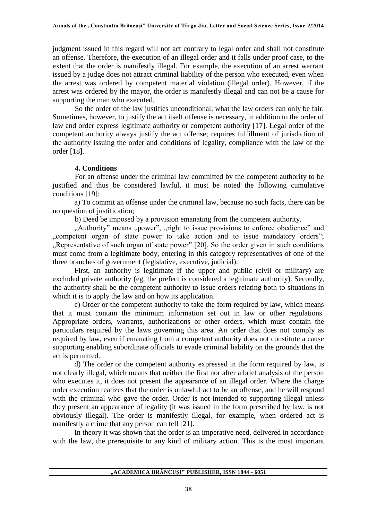judgment issued in this regard will not act contrary to legal order and shall not constitute an offense. Therefore, the execution of an illegal order and it falls under proof case, to the extent that the order is manifestly illegal. For example, the execution of an arrest warrant issued by a judge does not attract criminal liability of the person who executed, even when the arrest was ordered by competent material violation (illegal order). However, if the arrest was ordered by the mayor, the order is manifestly illegal and can not be a cause for supporting the man who executed.

So the order of the law justifies unconditional; what the law orders can only be fair. Sometimes, however, to justify the act itself offense is necessary, in addition to the order of law and order express legitimate authority or competent authority [17]. Legal order of the competent authority always justify the act offense; requires fulfillment of jurisdiction of the authority issuing the order and conditions of legality, compliance with the law of the order [18].

## **4. Conditions**

For an offense under the criminal law committed by the competent authority to be justified and thus be considered lawful, it must be noted the following cumulative conditions [19]:

a) To commit an offense under the criminal law, because no such facts, there can be no question of justification;

b) Deed be imposed by a provision emanating from the competent authority.

"Authority" means "power", "right to issue provisions to enforce obedience" and ", competent organ of state power to take action and to issue mandatory orders"; "Representative of such organ of state power" [20]. So the order given in such conditions must come from a legitimate body, entering in this category representatives of one of the three branches of government (legislative, executive, judicial).

First, an authority is legitimate if the upper and public (civil or military) are excluded private authority (eg, the prefect is considered a legitimate authority). Secondly, the authority shall be the competent authority to issue orders relating both to situations in which it is to apply the law and on how its application.

c) Order or the competent authority to take the form required by law, which means that it must contain the minimum information set out in law or other regulations. Appropriate orders, warrants, authorizations or other orders, which must contain the particulars required by the laws governing this area. An order that does not comply as required by law, even if emanating from a competent authority does not constitute a cause supporting enabling subordinate officials to evade criminal liability on the grounds that the act is permitted.

d) The order or the competent authority expressed in the form required by law, is not clearly illegal, which means that neither the first nor after a brief analysis of the person who executes it, it does not present the appearance of an illegal order. Where the charge order execution realizes that the order is unlawful act to be an offense, and he will respond with the criminal who gave the order. Order is not intended to supporting illegal unless they present an appearance of legality (it was issued in the form prescribed by law, is not obviously illegal). The order is manifestly illegal, for example, when ordered act is manifestly a crime that any person can tell [21].

In theory it was shown that the order is an imperative need, delivered in accordance with the law, the prerequisite to any kind of military action. This is the most important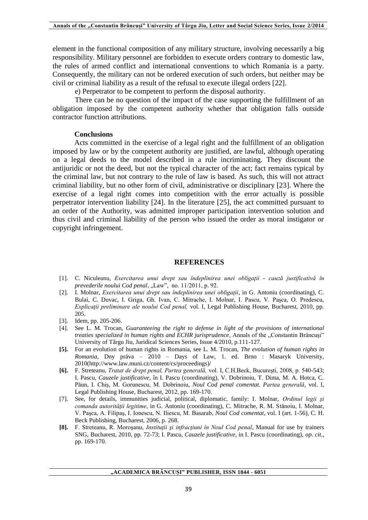element in the functional composition of any military structure, involving necessarily a big responsibility. Military personnel are forbidden to execute orders contrary to domestic law, the rules of armed conflict and international conventions to which Romania is a party. Consequently, the military can not be ordered execution of such orders, but neither may be civil or criminal liability as a result of the refusal to execute illegal orders [22].

e) Perpetrator to be competent to perform the disposal authority.

There can be no question of the impact of the case supporting the fulfillment of an obligation imposed by the competent authority whether that obligation falls outside contractor function attributions.

#### **Conclusions**

Acts committed in the exercise of a legal right and the fulfillment of an obligation imposed by law or by the competent authority are justified, are lawful, although operating on a legal deeds to the model described in a rule incriminating. They discount the antijuridic or not the deed, but not the typical character of the act; fact remains typical by the criminal law, but not contrary to the rule of law is based. As such, this will not attract criminal liability, but no other form of civil, administrative or disciplinary [23]. Where the exercise of a legal right comes into competition with the error actually is possible perpetrator intervention liability [24]. In the literature [25], the act committed pursuant to an order of the Authority, was admitted improper participation intervention solution and thus civil and criminal liability of the person who issued the order as moral instigator or copyright infringement.

#### **REFERENCES**

- [1]. C. Niculeanu, *Exercitarea unui drept sau îndeplinirea unei obligaţii - cauză justificativă în prevederile noului Cod penal*, "Law", no. 11/2011, p. 92.
- [2]. I. Molnar, *Exercitarea unui drept sau îndeplinirea unei obligaţii*, in G. Antoniu (coordinating), C. Bulai, C. Duvac, I. Griga, Gh. Ivan, C. Mitrache, I. Molnar, I. Pascu, V. Paşca, O. Predescu, *Explicaţii preliminare ale noului Cod penal,* vol. I, Legal Publishing House, Bucharest, 2010, pp. 205.
- [3]. Idem, pp. 205-206.
- [4]. See L. M. Trocan, *Guaranteeing the right to defense in light of the provisions of international treaties specialized in human rights and ECHR jurisprudence*, Annals of the "Constantin Brâncusi" University of Târgu Jiu, Juridical Sciences Series, Issue 4/2010, p.111-127.
- **[5].** [For](http://www.law.muni.cz/content/cs/proceedings)/For) an evolution of human rights in Romania, see L. M. Trocan, *The evolution of human rights in Romania*, Dny práva – 2010 – Days of Law, 1. ed. Brno : Masaryk University, 2010[\(http://www.law.muni.cz/content/cs/proceedings\)/](http://www.law.muni.cz/content/cs/proceedings)/For)
- **[6].** F. Streteanu*, Tratat de drept penal, Partea generală,* vol. I, C.H.Beck, Bucureşti, 2008, p. 540-543; I. Pascu, *Cauzele justificative*, în I. Pascu (coordinating), V. Dobrinoiu, T. Dima, M. A. Hotca, C. Păun, I. Chiş, M. Gorunescu, M. Dobrinoiu, *Noul Cod penal comentat. Partea generală*, vol. I, Legal Publishing House, Bucharest, 2012, pp. 169-170.
- [7]. See, for details, immunities judicial, political, diplomatic, family: I. Molnar, *Ordinul legii şi comanda autorităţii legitime*, in G. Antoniu (coordinating), C. Mitrache, R. M. Stănoiu, I. Molnar, V. Paşca, A. Filipaş, I. Ionescu, N. Iliescu, M. Basarab, *Noul Cod comentat*, vol. I (art. 1-56), C. H. Beck Publishing, Bucharest, 2006, p. 268.
- **[8].** F. Streteanu, R. Moroşanu, *Instituţii şi infracţiuni în Noul Cod penal*, Manual for use by trainers SNG, Bucharest, 2010, pp. 72-73; I. Pascu, *Cauzele justificative*, in I. Pascu (coordinating), *op. cit*., pp. 169-170.